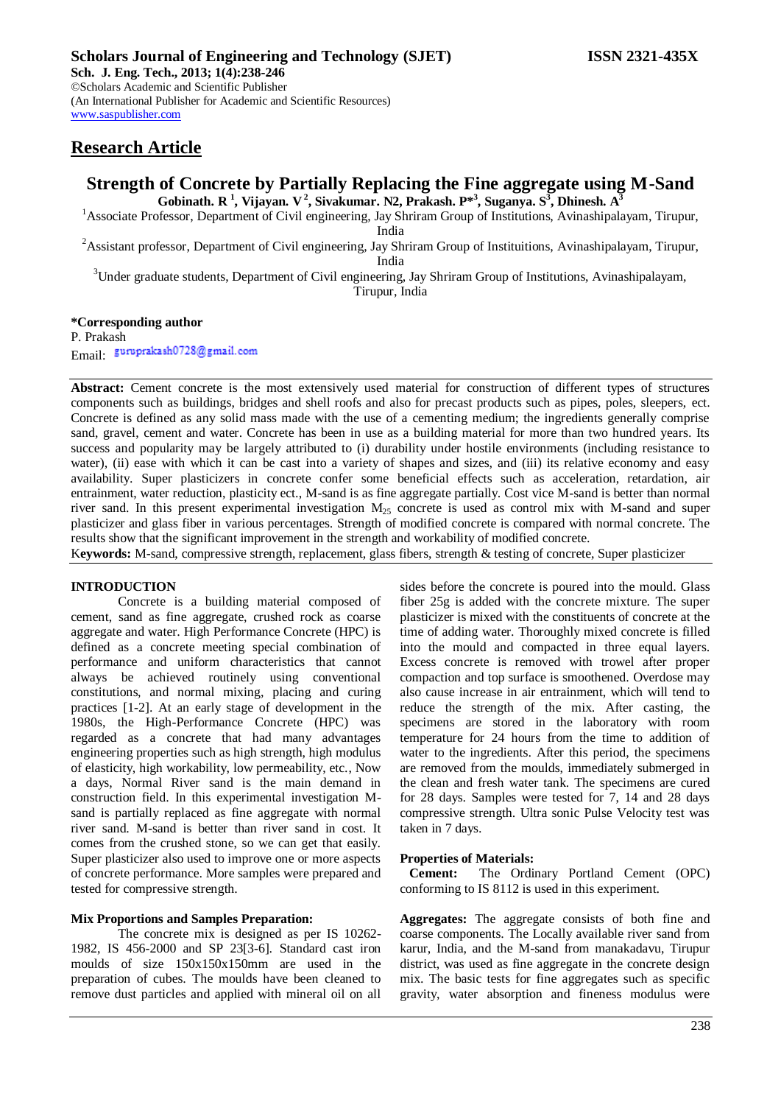**Sch. J. Eng. Tech., 2013; 1(4):238-246** ©Scholars Academic and Scientific Publisher (An International Publisher for Academic and Scientific Resources) [www.saspublisher.com](http://www.saspublisher.com/)

## **Research Article**

## **Strength of Concrete by Partially Replacing the Fine aggregate using M-Sand Gobinath. R <sup>1</sup> , Vijayan. V 2 , Sivakumar. N2, Prakash. P\* 3 , Suganya. S 3 , Dhinesh. A 3**

<sup>1</sup>Associate Professor, Department of Civil engineering, Jay Shriram Group of Institutions, Avinashipalayam, Tirupur,

India

<sup>2</sup>Assistant professor, Department of Civil engineering, Jay Shriram Group of Instituitions, Avinashipalayam, Tirupur,

India

<sup>3</sup>Under graduate students, Department of Civil engineering, Jay Shriram Group of Institutions, Avinashipalayam,

Tirupur, India

**\*Corresponding author**

P. Prakash Email: guruprakash0728@gmail.com

**Abstract:** Cement concrete is the most extensively used material for construction of different types of structures components such as buildings, bridges and shell roofs and also for precast products such as pipes, poles, sleepers, ect. Concrete is defined as any solid mass made with the use of a cementing medium; the ingredients generally comprise sand, gravel, cement and water. Concrete has been in use as a building material for more than two hundred years. Its success and popularity may be largely attributed to (i) durability under hostile environments (including resistance to water), (ii) ease with which it can be cast into a variety of shapes and sizes, and (iii) its relative economy and easy availability. Super plasticizers in concrete confer some beneficial effects such as acceleration, retardation, air entrainment, water reduction, plasticity ect., M-sand is as fine aggregate partially. Cost vice M-sand is better than normal river sand. In this present experimental investigation  $M<sub>25</sub>$  concrete is used as control mix with M-sand and super plasticizer and glass fiber in various percentages. Strength of modified concrete is compared with normal concrete. The results show that the significant improvement in the strength and workability of modified concrete.

K**eywords:** M-sand, compressive strength, replacement, glass fibers, strength & testing of concrete, Super plasticizer

### **INTRODUCTION**

Concrete is a building material composed of cement, sand as fine aggregate, crushed rock as coarse aggregate and water. High Performance Concrete (HPC) is defined as a concrete meeting special combination of performance and uniform characteristics that cannot always be achieved routinely using conventional constitutions, and normal mixing, placing and curing practices [1-2]. At an early stage of development in the 1980s, the High-Performance Concrete (HPC) was regarded as a concrete that had many advantages engineering properties such as high strength, high modulus of elasticity, high workability, low permeability, etc., Now a days, Normal River sand is the main demand in construction field. In this experimental investigation Msand is partially replaced as fine aggregate with normal river sand. M-sand is better than river sand in cost. It comes from the crushed stone, so we can get that easily. Super plasticizer also used to improve one or more aspects of concrete performance. More samples were prepared and tested for compressive strength.

### **Mix Proportions and Samples Preparation:**

The concrete mix is designed as per IS 10262- 1982, IS 456-2000 and SP 23[3-6]. Standard cast iron moulds of size 150x150x150mm are used in the preparation of cubes. The moulds have been cleaned to remove dust particles and applied with mineral oil on all

sides before the concrete is poured into the mould. Glass fiber 25g is added with the concrete mixture. The super plasticizer is mixed with the constituents of concrete at the time of adding water. Thoroughly mixed concrete is filled into the mould and compacted in three equal layers. Excess concrete is removed with trowel after proper compaction and top surface is smoothened. Overdose may also cause increase in air entrainment, which will tend to reduce the strength of the mix. After casting, the specimens are stored in the laboratory with room temperature for 24 hours from the time to addition of water to the ingredients. After this period, the specimens are removed from the moulds, immediately submerged in the clean and fresh water tank. The specimens are cured for 28 days. Samples were tested for 7, 14 and 28 days compressive strength. Ultra sonic Pulse Velocity test was taken in 7 days.

### **Properties of Materials:**

 **Cement:** The Ordinary Portland Cement (OPC) conforming to IS 8112 is used in this experiment.

**Aggregates:** The aggregate consists of both fine and coarse components. The Locally available river sand from karur, India, and the M-sand from manakadavu, Tirupur district, was used as fine aggregate in the concrete design mix. The basic tests for fine aggregates such as specific gravity, water absorption and fineness modulus were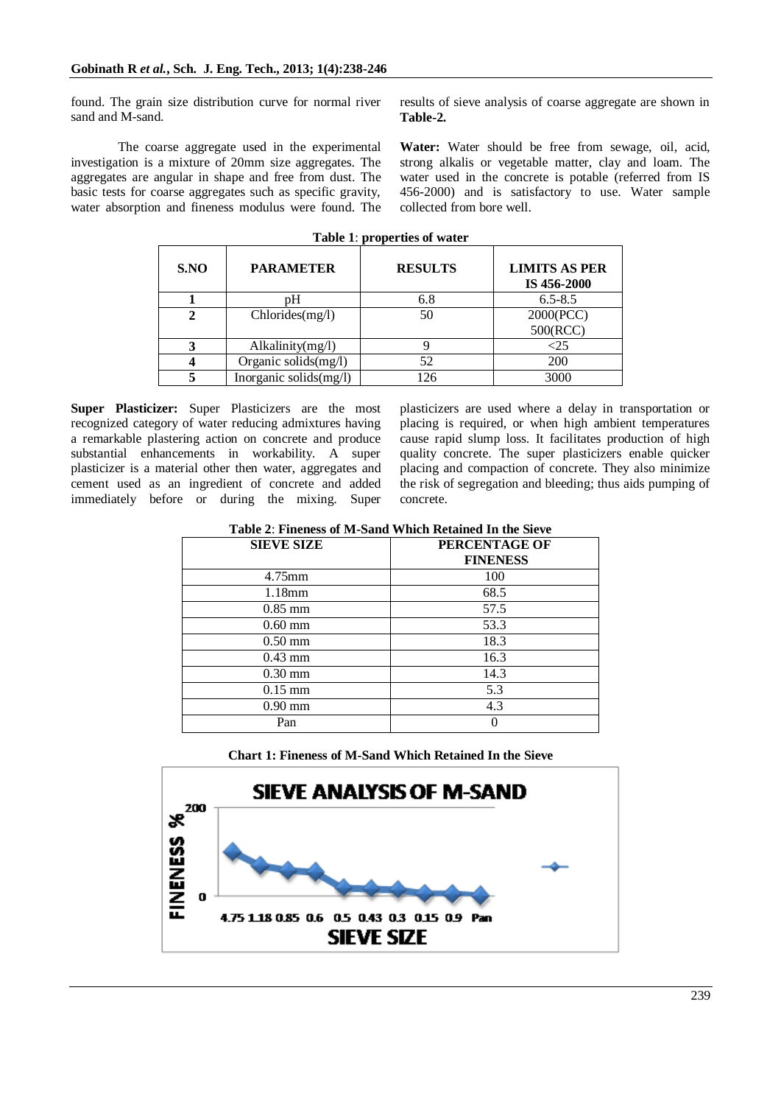found. The grain size distribution curve for normal river sand and M-sand.

The coarse aggregate used in the experimental investigation is a mixture of 20mm size aggregates. The aggregates are angular in shape and free from dust. The basic tests for coarse aggregates such as specific gravity, water absorption and fineness modulus were found. The results of sieve analysis of coarse aggregate are shown in **Table-2.**

**Water:** Water should be free from sewage, oil, acid, strong alkalis or vegetable matter, clay and loam. The water used in the concrete is potable (referred from IS 456-2000) and is satisfactory to use. Water sample collected from bore well.

| S.NO | <b>PARAMETER</b>       | <b>RESULTS</b> | <b>LIMITS AS PER</b><br>IS 456-2000 |
|------|------------------------|----------------|-------------------------------------|
|      |                        | 6.8            | $6.5 - 8.5$                         |
|      | Chlorides(mg/l)        | 50             | 2000(PCC)                           |
|      |                        |                | 500(RCC)                            |
|      | Alkalinity(mg/l)       |                |                                     |
|      | Organic solids(mg/l)   | 52             | 200                                 |
|      | Inorganic solids(mg/l) | 126            | 3000                                |

**Table 1**: **properties of water**

**Super Plasticizer:** Super Plasticizers are the most recognized category of water reducing admixtures having a remarkable plastering action on concrete and produce substantial enhancements in workability. A super plasticizer is a material other then water, aggregates and cement used as an ingredient of concrete and added immediately before or during the mixing. Super plasticizers are used where a delay in transportation or placing is required, or when high ambient temperatures cause rapid slump loss. It facilitates production of high quality concrete. The super plasticizers enable quicker placing and compaction of concrete. They also minimize the risk of segregation and bleeding; thus aids pumping of concrete.

| <b>SIEVE SIZE</b> | PERCENTAGE OF<br><b>FINENESS</b> |
|-------------------|----------------------------------|
| $4.75$ mm         | 100                              |
| 1.18mm            | 68.5                             |
| $0.85$ mm         | 57.5                             |
| $0.60$ mm         | 53.3                             |
| $0.50 \text{ mm}$ | 18.3                             |
| $0.43$ mm         | 16.3                             |
| $0.30$ mm         | 14.3                             |
| $0.15$ mm         | 5.3                              |
| $0.90$ mm         | 4.3                              |
| Pan               |                                  |

**Chart 1: Fineness of M-Sand Which Retained In the Sieve**

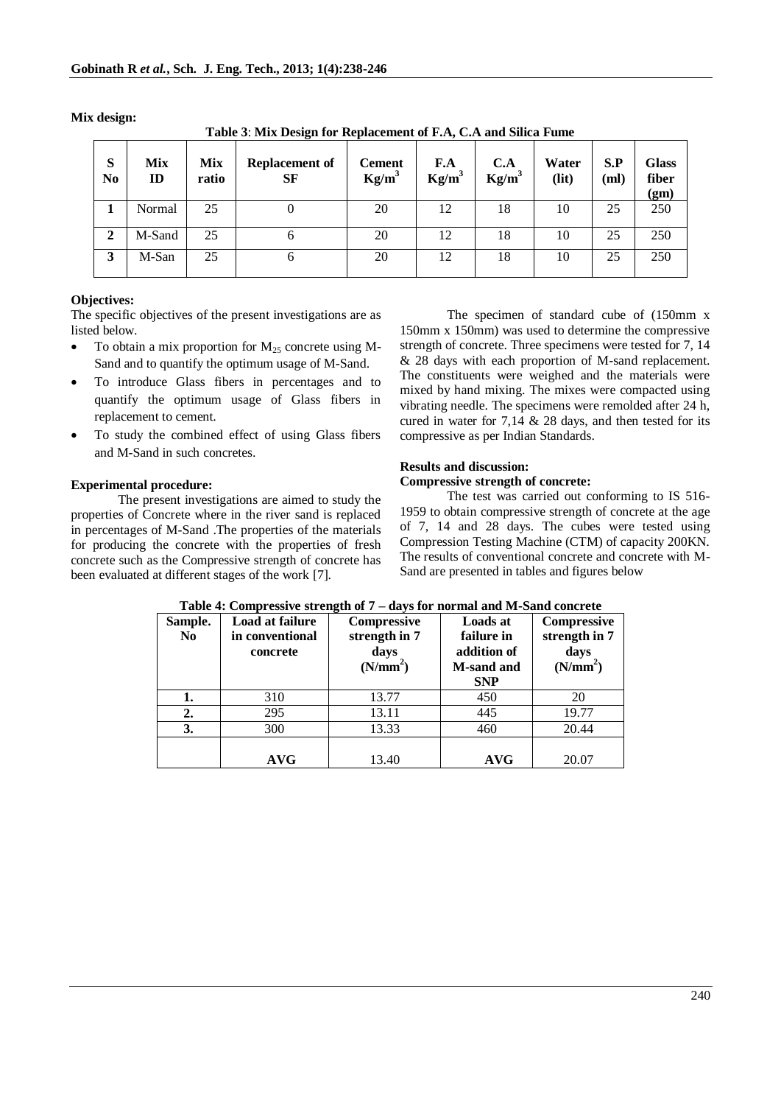| S<br>N <sub>0</sub> | <b>Mix</b><br>ID | <b>Mix</b><br>ratio | <b>Replacement of</b><br>SF | <b>Cement</b><br>$Kg/m^3$ | F.A<br>$Kg/m^3$ | C.A<br>$Kg/m^3$ | Water<br>(lit) | S.P<br>(ml) | <b>Glass</b><br>fiber<br>(gm) |
|---------------------|------------------|---------------------|-----------------------------|---------------------------|-----------------|-----------------|----------------|-------------|-------------------------------|
|                     | Normal           | 25                  |                             | 20                        | 12              | 18              | 10             | 25          | 250                           |
| $\mathbf{2}$        | M-Sand           | 25                  |                             | 20                        | 12              | 18              | 10             | 25          | 250                           |
| 3                   | M-San            | 25                  |                             | 20                        | 12              | 18              | 10             | 25          | 250                           |

**Mix design:**

**Table 3**: **Mix Design for Replacement of F.A, C.A and Silica Fume**

### **Objectives:**

The specific objectives of the present investigations are as listed below.

- To obtain a mix proportion for  $M_{25}$  concrete using M-Sand and to quantify the optimum usage of M-Sand.
- To introduce Glass fibers in percentages and to quantify the optimum usage of Glass fibers in replacement to cement.
- To study the combined effect of using Glass fibers and M-Sand in such concretes.

### **Experimental procedure:**

The present investigations are aimed to study the properties of Concrete where in the river sand is replaced in percentages of M-Sand .The properties of the materials for producing the concrete with the properties of fresh concrete such as the Compressive strength of concrete has been evaluated at different stages of the work [7].

The specimen of standard cube of (150mm x 150mm x 150mm) was used to determine the compressive strength of concrete. Three specimens were tested for 7, 14 & 28 days with each proportion of M-sand replacement. The constituents were weighed and the materials were mixed by hand mixing. The mixes were compacted using vibrating needle. The specimens were remolded after 24 h, cured in water for 7,14 & 28 days, and then tested for its compressive as per Indian Standards.

# **Results and discussion:**

### **Compressive strength of concrete:**

The test was carried out conforming to IS 516- 1959 to obtain compressive strength of concrete at the age of 7, 14 and 28 days. The cubes were tested using Compression Testing Machine (CTM) of capacity 200KN. The results of conventional concrete and concrete with M-Sand are presented in tables and figures below

| Sample.<br>N <sub>0</sub> | Load at failure<br>in conventional<br>concrete | Compressive<br>strength in 7<br>days<br>(N/mm <sup>2</sup> ) | <b>Loads at</b><br>failure in<br>addition of<br><b>M-sand and</b><br><b>SNP</b> | Compressive<br>strength in 7<br>days<br>(N/mm <sup>2</sup> ) |
|---------------------------|------------------------------------------------|--------------------------------------------------------------|---------------------------------------------------------------------------------|--------------------------------------------------------------|
| 1.                        | 310                                            | 13.77                                                        | 450                                                                             | 20                                                           |
| 2.                        | 295                                            | 13.11                                                        | 445                                                                             | 19.77                                                        |
| 3.                        | 300                                            | 13.33                                                        | 460                                                                             | 20.44                                                        |
|                           | AVG                                            | 13.40                                                        | <b>AVG</b>                                                                      | 20.07                                                        |

| Table 4: Compressive strength of 7 – days for normal and M-Sand concrete |
|--------------------------------------------------------------------------|
|--------------------------------------------------------------------------|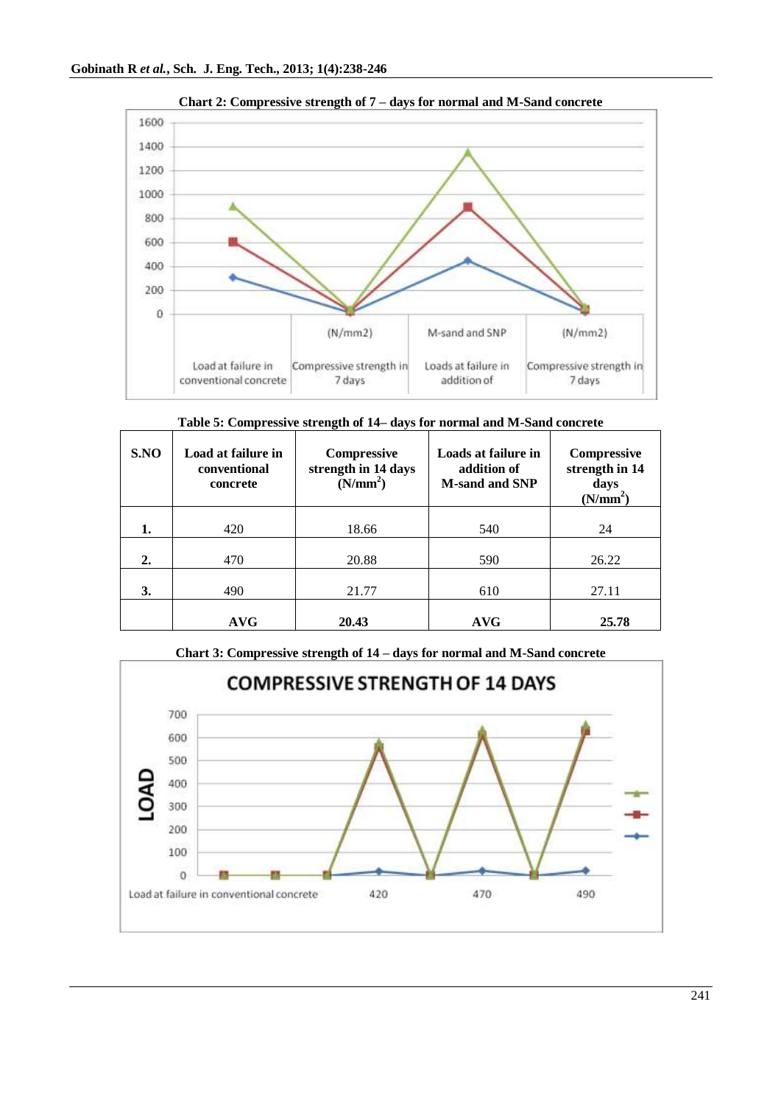

**Chart 2: Compressive strength of 7 – days for normal and M-Sand concrete**

**Table 5: Compressive strength of 14– days for normal and M-Sand concrete**

| S.NO | Load at failure in<br>conventional<br>concrete | Compressive<br>strength in 14 days<br>(N/mm <sup>2</sup> ) | Loads at failure in<br>addition of<br><b>M-sand and SNP</b> | Compressive<br>strength in 14<br>days<br>(N/mm <sup>2</sup> ) |
|------|------------------------------------------------|------------------------------------------------------------|-------------------------------------------------------------|---------------------------------------------------------------|
| 1.   | 420                                            | 18.66                                                      | 540                                                         | 24                                                            |
| 2.   | 470                                            | 20.88                                                      | 590                                                         | 26.22                                                         |
| 3.   | 490                                            | 21.77                                                      | 610                                                         | 27.11                                                         |
|      | <b>AVG</b>                                     | 20.43                                                      | <b>AVG</b>                                                  | 25.78                                                         |

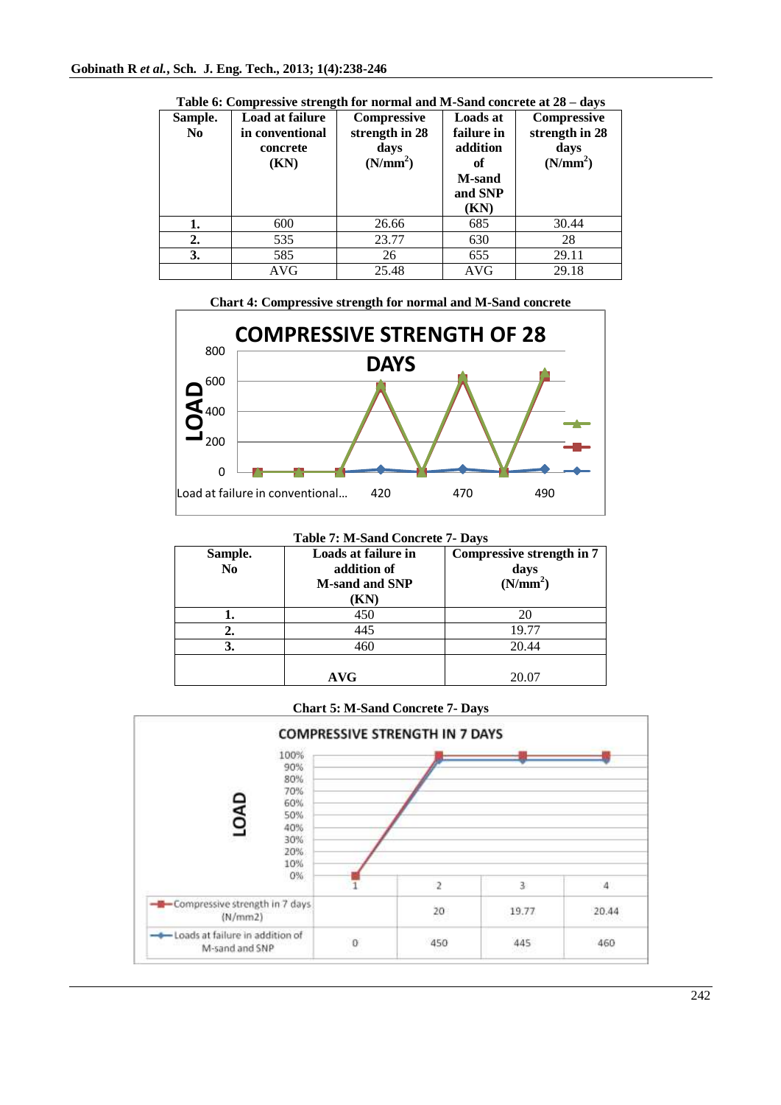| Sample.<br>No | Load at failure<br>in conventional | Compressive<br>strength in 28 | <b>Loads at</b><br>failure in    | Compressive<br>strength in 28 |
|---------------|------------------------------------|-------------------------------|----------------------------------|-------------------------------|
|               | concrete<br>(KN)                   | days<br>(N/mm <sup>2</sup> )  | addition<br>оf                   | davs<br>(N/mm <sup>2</sup> )  |
|               |                                    |                               | <b>M-sand</b><br>and SNP<br>(KN) |                               |
| 1.            | 600                                | 26.66                         | 685                              | 30.44                         |
| 2.            | 535                                | 23.77                         | 630                              | 28                            |
| 3.            | 585                                | 26                            | 655                              | 29.11                         |
|               | <b>AVG</b>                         | 25.48                         | <b>AVG</b>                       | 29.18                         |

**Table 6: Compressive strength for normal and M-Sand concrete at 28 – days** 





| Sample.<br>N <sub>0</sub> | Loads at failure in<br>addition of<br><b>M-sand and SNP</b> | Compressive strength in 7<br>days<br>(N/mm <sup>2</sup> ) |
|---------------------------|-------------------------------------------------------------|-----------------------------------------------------------|
|                           | (KN)                                                        |                                                           |
|                           | 450                                                         | 20                                                        |
| <sup>2.</sup>             | 445                                                         | 19.77                                                     |
|                           | 460                                                         | 20.44                                                     |
|                           | <b>AVG</b>                                                  | 20.07                                                     |

**Chart 5: M-Sand Concrete 7- Days**

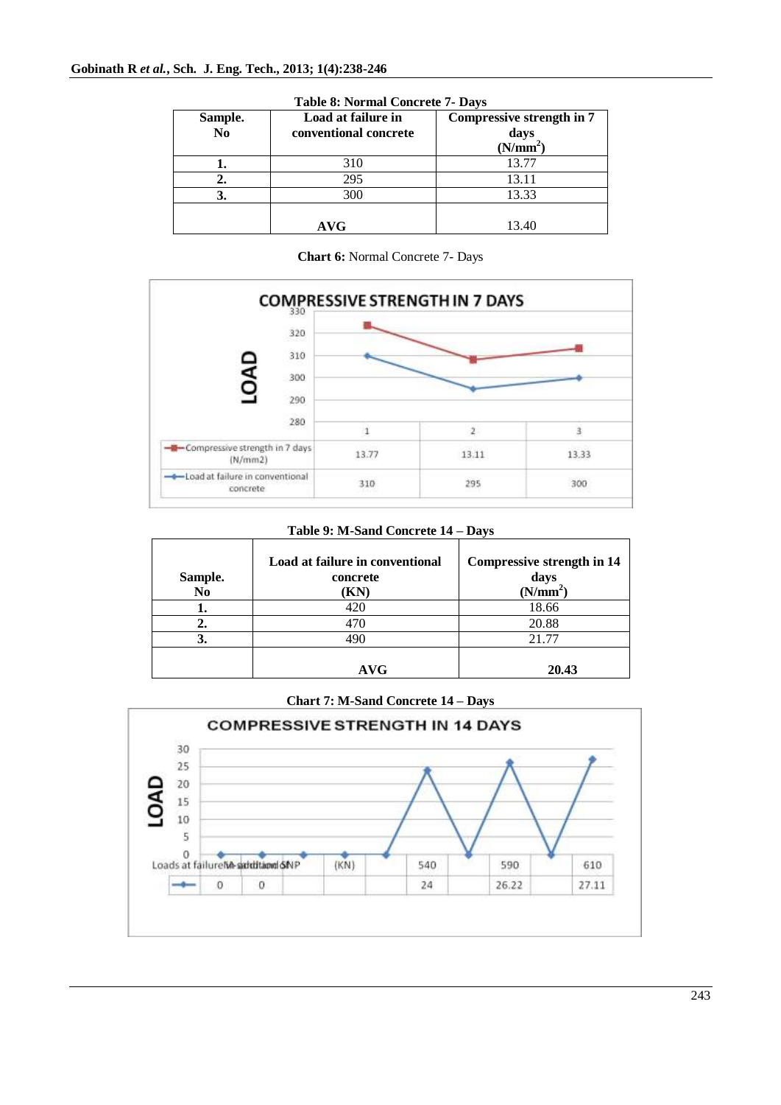| Sample.<br>$\mathbf{N}\mathbf{o}$ | Load at failure in<br>conventional concrete | Compressive strength in 7<br>days<br>(N/mm <sup>2</sup> ) |
|-----------------------------------|---------------------------------------------|-----------------------------------------------------------|
|                                   | 310                                         | 13.77                                                     |
| 2.                                | 295                                         | 13.11                                                     |
| 3.                                | 300                                         | 13.33                                                     |
|                                   | <b>AVG</b>                                  | 13.40                                                     |

**Table 8: Normal Concrete 7- Days**

**Chart 6:** Normal Concrete 7- Days



**Table 9: M-Sand Concrete 14 – Days**

| Sample.<br>No | Load at failure in conventional<br>concrete<br>(KN) | <b>Compressive strength in 14</b><br>days<br>(N/mm <sup>2</sup> ) |
|---------------|-----------------------------------------------------|-------------------------------------------------------------------|
| ı.            | 420                                                 | 18.66                                                             |
| ۷.            | 470                                                 | 20.88                                                             |
|               | 490                                                 | 21.77                                                             |
|               | AVG                                                 | 20.43                                                             |

**Chart 7: M-Sand Concrete 14 – Days**

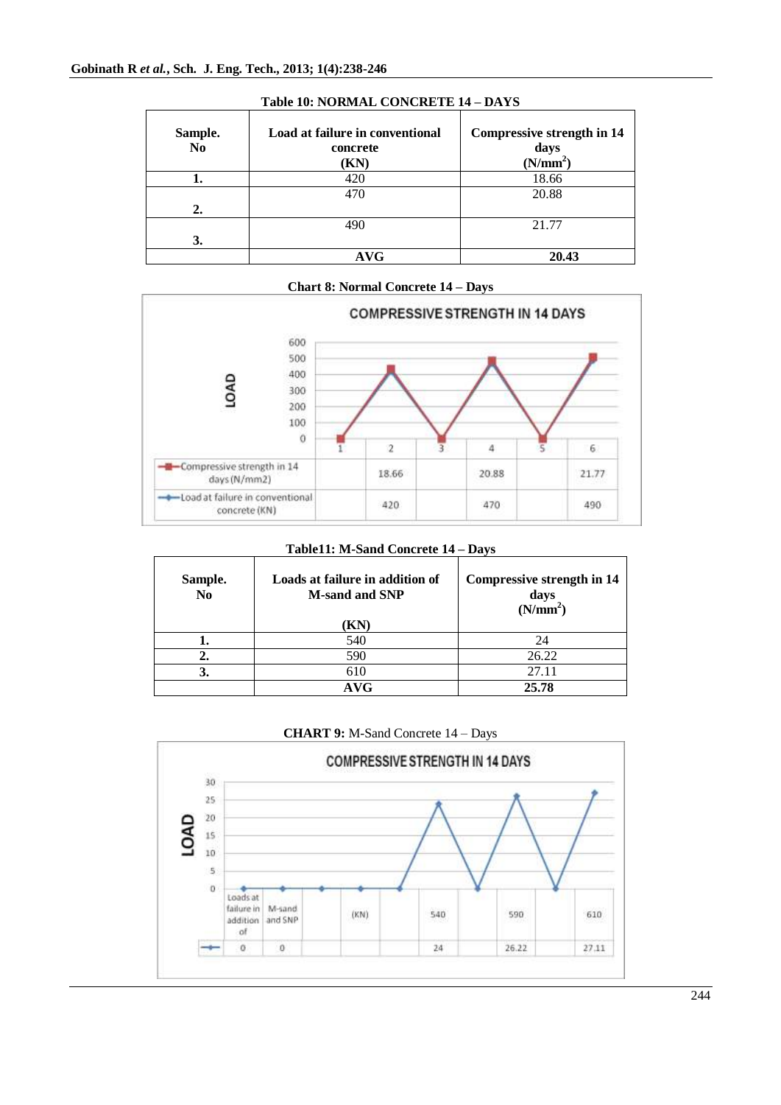| Sample.<br>N <sub>0</sub> | Load at failure in conventional<br>concrete<br>(KN) | <b>Compressive strength in 14</b><br>days<br>(N/mm <sup>2</sup> ) |
|---------------------------|-----------------------------------------------------|-------------------------------------------------------------------|
|                           | 420                                                 | 18.66                                                             |
|                           | 470                                                 | 20.88                                                             |
| 2.                        |                                                     |                                                                   |
|                           | 490                                                 | 21.77                                                             |
| 3.                        |                                                     |                                                                   |
|                           | AVG                                                 | 20.43                                                             |

## **Table 10: NORMAL CONCRETE 14 – DAYS**





### **Table11: M-Sand Concrete 14 – Days**

| Sample.<br>N <sub>0</sub> | Loads at failure in addition of<br><b>M-sand and SNP</b><br>KN) | <b>Compressive strength in 14</b><br>days<br>(N/mm <sup>2</sup> ) |
|---------------------------|-----------------------------------------------------------------|-------------------------------------------------------------------|
|                           | 540                                                             | 24                                                                |
| 2.                        | 590                                                             | 26.22                                                             |
| 3.                        | 610                                                             | 27.11                                                             |
|                           | AVG                                                             | 25.78                                                             |



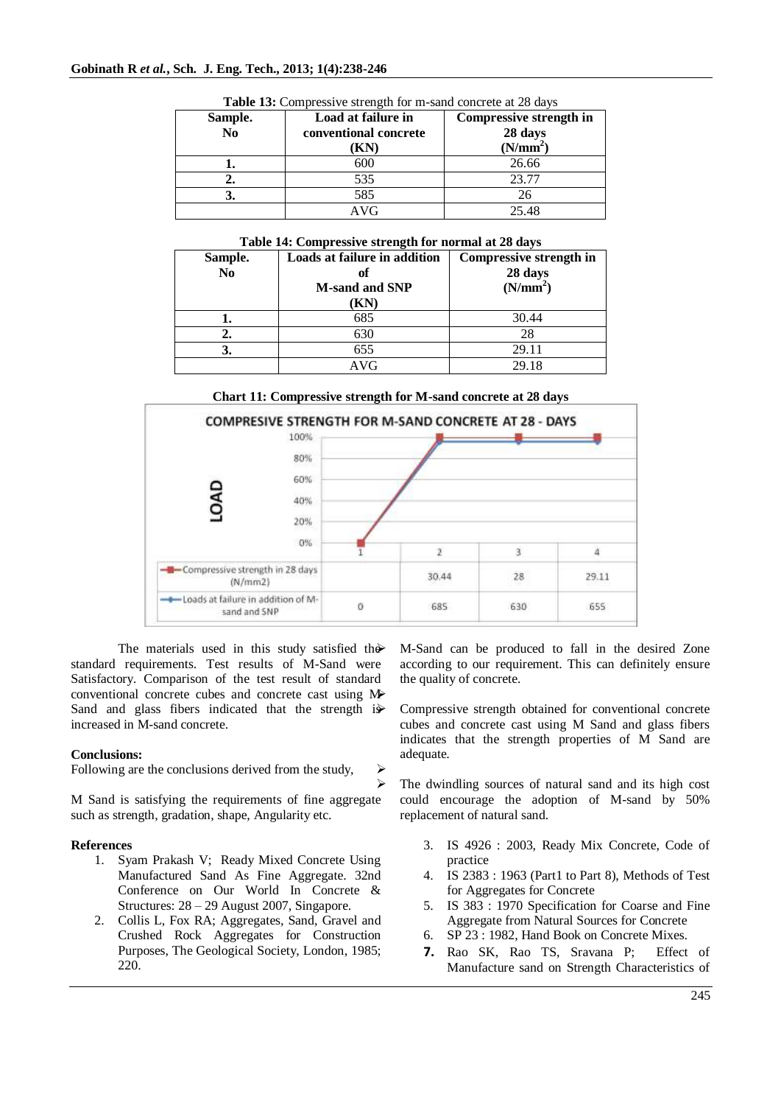| Sample.<br>N <sub>0</sub> | Load at failure in<br>conventional concrete<br>(KN) | Compressive strength in<br>28 days<br>(N/mm <sup>2</sup> ) |
|---------------------------|-----------------------------------------------------|------------------------------------------------------------|
|                           | 600                                                 | 26.66                                                      |
|                           | 535                                                 | 23.77                                                      |
|                           | 585                                                 | 26                                                         |
|                           | AVG                                                 | 25.48                                                      |

**Table 13:** Compressive strength for m-sand concrete at 28 days

### **Table 14: Compressive strength for normal at 28 days**

| Sample.<br>N <sub>0</sub> | Loads at failure in addition<br>оf<br><b>M-sand and SNP</b><br>(KN) | Compressive strength in<br>28 days<br>(N/mm <sup>2</sup> ) |
|---------------------------|---------------------------------------------------------------------|------------------------------------------------------------|
|                           | 685                                                                 | 30.44                                                      |
| 2.                        | 630                                                                 | 28                                                         |
| 3.                        | 655                                                                 | 29.11                                                      |
|                           | AVG                                                                 | 29.18                                                      |





 $\triangleright$ 

The materials used in this study satisfied the standard requirements. Test results of M-Sand were Satisfactory. Comparison of the test result of standard conventional concrete cubes and concrete cast using M Sand and glass fibers indicated that the strength is increased in M-sand concrete.

### **Conclusions:**

Following are the conclusions derived from the study,

M Sand is satisfying the requirements of fine aggregate such as strength, gradation, shape, Angularity etc.

### **References**

- 1. Syam Prakash V; Ready Mixed Concrete Using Manufactured Sand As Fine Aggregate. 32nd Conference on Our World In Concrete & Structures: 28 – 29 August 2007, Singapore.
- 2. Collis L, Fox RA; Aggregates, Sand, Gravel and Crushed Rock Aggregates for Construction Purposes, The Geological Society, London, 1985; 220.

 M-Sand can be produced to fall in the desired Zone according to our requirement. This can definitely ensure the quality of concrete.

 Compressive strength obtained for conventional concrete cubes and concrete cast using M Sand and glass fibers indicates that the strength properties of M Sand are adequate.

 $\triangleright$  The dwindling sources of natural sand and its high cost could encourage the adoption of M-sand by 50% replacement of natural sand.

- 3. IS 4926 : 2003, Ready Mix Concrete, Code of practice
- 4. IS 2383 : 1963 (Part1 to Part 8), Methods of Test for Aggregates for Concrete
- 5. IS 383 : 1970 Specification for Coarse and Fine Aggregate from Natural Sources for Concrete
- 6. SP 23 : 1982, Hand Book on Concrete Mixes.
- **7.** Rao SK, Rao TS, Sravana P; Effect of Manufacture sand on Strength Characteristics of